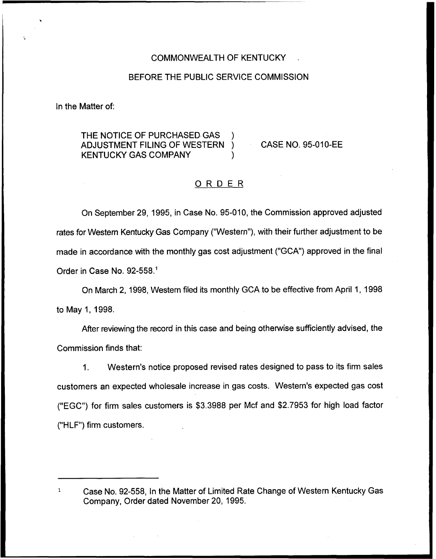### COMMONWEALTH OF KENTUCKY

## BEFORE THE PUBLIC SERVICE COMMISSION

In the Matter of:

# THE NOTICE OF PURCHASED GAS ADJUSTMENT FILING OF WESTERN **KENTUCKY GAS COMPANY**

CASE NO. 95-010-EE

## ORDER

On September 29, 1995, in Case No. 95-010, the Commission approved adjusted rates for Western Kentucky Gas Company ("Western"), with their further adjustment to be made in accordance with the monthly gas cost adjustment ("GCA") approved in the final Order in Case No. 92-558."

On March 2, 1998, Western filed its monthly GCA to be effective from April 1, 1998 to May 1, 1998,

After reviewing the record in this case and being otherwise sufficiently advised, the Commission finds that:

 $1<sub>1</sub>$ Western's notice proposed revised rates designed to pass to its firm sales customers an expected wholesale increase in gas costs. Western's expected gas cost ("EGC") for firm sales customers is \$3.3988 per Mcf and \$2.7953 for high load factor ("HLF") firm customers.

 $\mathbf{1}$ Case No. 92-558, In the Matter of Limited Rate Change of Western Kentucky Gas Company, Order dated November 20, 1995.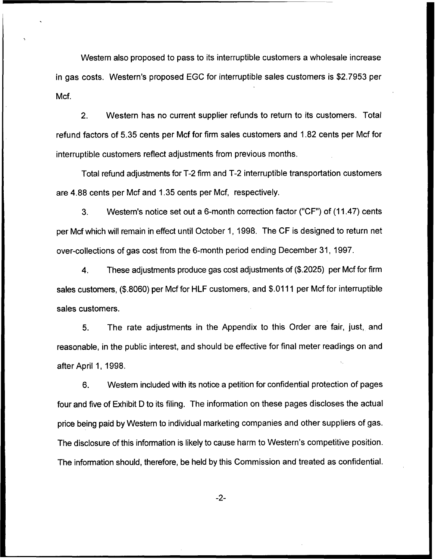Western also proposed to pass to its inierruptible customers a wholesale increase in gas costs. Western's proposed EGC for interruptible sales customers is \$2.7953 per Mcf.

2. Western has no current supplier refunds to return to its customers. Total refund factors of 5.35 cents per Mcf for firm sales customers and 1.82 cents per Mcf for interruptible customers reflect adjustments from previous months.

Total refund adjustments for T-2 firm and T-2 interruptible transportation customers are 4.88 cents per Mcf and 1.35 cents per Mcf, respectively.

3. Western's notice set out a 6-month correction factor ("CF") of (11.47) cents per Mcf which will remain in effect until October 1, 1998. The CF is designed to return net over-collections of gas cost from the 6-month period ending December 31, 1997.

4. These adjustments produce gas cost adjustments of (\$.2025) per Mcf for firm sales customers, (\$.8060) per Mcf for HLF customers, and \$.0111 per Mcf for interruptible sales customers.

5. The rate adjustments in the Appendix to this Order are fair, just, and reasonable, in the public interest, and should be effective for final meter readings on and after April 1, 1998.

6. Western included with its notice a petition for confidential protection of pages four and five of Exhibit D to its filing. The information on these pages discloses the actual price being paid by Western to individual marketing companies and other suppliers of gas. The disclosure of this information is likely to cause harm to Western's competitive position. The information should, therefore, be held by this Commission and treated as confidential.

-2-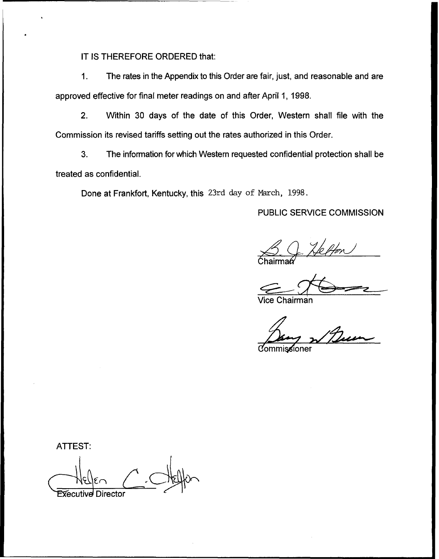IT IS THEREFORE ORDERED that:

1. The rates in the Appendix to this Order are fair, just, and reasonable and are approved effective for final meter readings on and after April 1, 1998.

2. Within 30 days of the date of this Order, Western shall file with the Commission its revised tariffs setting out the rates authorized in this Order.

3. The information for which Western requested confidential protection shall be treated as confidential.

Done at Frankfort, Kentucky, this 23rd day of March, 1998.

PUBLIC SERVICE COMMISSION

 $\mathcal{L}$ 

Vice Chairman

sioner

ATTEST: Executive Director